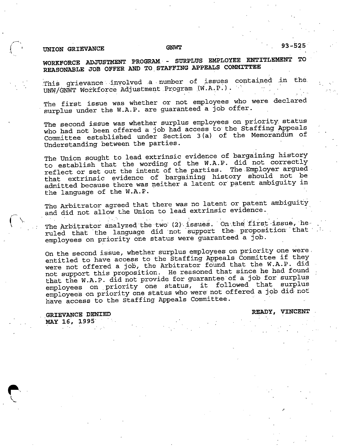## UNION GRIEVANCE GNWT

WORKFORCE ADJUSTMENT PROGRAM - SURPLUS EMPLOYEE ENTITLEMENT TO REASONABLE JOB OFFER AND TO STAFFING APPEALS COMMITTEE

This grievance involved a number of issues contained in the UNW/GNWT Workforce Adjustment Program (W.A.P.).

The first issue was whether or not employees who were declared surplus under the W.A.P. are guaranteed a job offer.

The second issue was whether surplus employees on priority status<br>who had not been offered a job had access to the Staffing Appeals Committee established under Section 3(a) of the Memorandum of Understanding between the parties.

The Union sought to lead extrinsic evidence of bargaining history<br>to establish that the wording of the W.A.P. did not correctly reflect or set out the intent of the parties. The Employer argued<br>that extrinsic evidence of bargaining history should not be admitted because there was neither a latent or patent ambiguity in the language of the W.A.P.

The Arbitrator agreed that there was no latent or patent ambiguity<br>and did not allow the Union to lead extrinsic evidence.

The Arbitrator analyzed the two (2) issues. On the first issue, he ruled that the language did not support the- proposition that employees on priority one status were guaranteed a job.

On the second issue, whether surplus employees on priority one were. entitled to have access to the Staffing Appeals Committee if they were not offered a job, the Arbitrator found that the W.A.P. did not support this proposition. He reasoned that since he had found<br>that the W.A.P. did not provide for guarantee of a job for surplus employees on priority one status, it followed that surplus<br>employees on priority one status who were not offered a job did not have access to the Staffing Appeals Committee.

GRIEVANCE DENIED **READY, VINCENT** MAY 16, 1995

r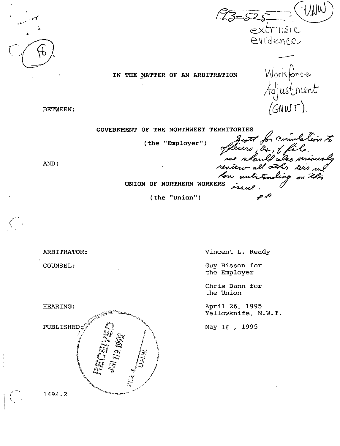$MUW$ 73 - 525 extrinsic evi'dente^

IN THE MATTER OF AN ARBITRATION Workforce<br>Adjustment<br>(GNWT).

BETWEEN

GOVERNMENT OF THE NORTHWEST TERRITORIES

AND:

(the "Employer") South for circulation to م. ص

UNION OF NORTHERN WORKERS

(the "Union")

ARBITRATOR: COUNSEL: HEARING: PUBLISHED ^'/ ان<br>ماند  $\sum_{i=1}^{\infty}$  .  $\sum_{i=1}^{\infty}$  $\circ$  $\mathbb{C}^*$   $\mathbb{C}^*$  $\mathbf{x}_i$ Guy Bisson for the Union May 16 , 1995 i  $k_{\rm s}^{\rm k}$ 

Vincent L. Ready

the Employer

Chris Dann for

April 26, 1995 Yellowknife, N.W.T

1494.2

Ĭ  $\mathcal{L}$ 

•\

-51 "5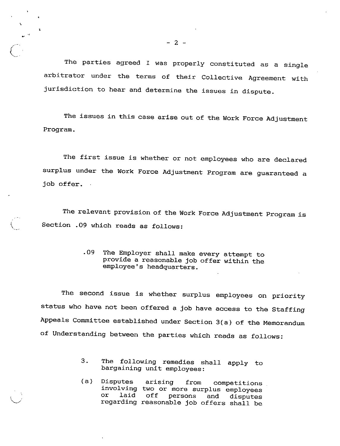The parties agreed I was properly constituted as a single arbitrator under the terms of their Collective Agreement with jurisdiction to hear and determine the issues in dispute.

The issues in this case arise out of the Work Force Adjustment Program.

The first issue is whether or not employees who are declared surplus under the Work Force Adjustment Program are guaranteed a job offer.

The relevant provision of the Work Force Adjustment Program is Section .09 which reads as follows:

> 09 The Employer shall make every attempt to provide <sup>a</sup> reasonable job offer within the employee's headquarters.

The second issue is whether surplus employees on priority status who have not been offered a job have access to the Staffing Appeals Committee established under Section 3(a) of the Memorandum of Understanding between the parties which reads as follows:

- 3. The following remedies shall apply to bargaining unit employees:
- (a) Disputes arising from competitions involving two or more surplus employees ancorving two or more surprus emproyees or laid off persons and disputes<br>regarding reasonable job offers shall be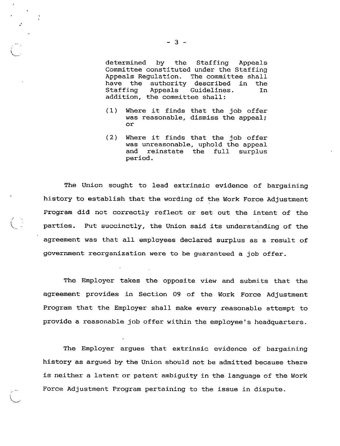determined by the Staffing Appeals Committee constituted under the Staffing Appeals Regulation. The committee shall<br>have the authority described in the have the authority<br>Staffing Appeals ( Guidelines. In addition, the committee shall:

- (1) Where it finds that the job offer was reasonable, dismiss the appeal; or
- (2) Where it finds that the job offer was unreasonable, uphold the appeal and reinstate the full surplus period.

The Union sought to lead extrinsic evidence of bargaining history to establish that the wording of the Work Force Adjustment Program did not correctly reflect or set out the intent of the parties. Put succinctly, the Union said its understanding of the agreement was that all employees declared surplus as <sup>a</sup> result of government reorganization were to be guaranteed <sup>a</sup> job offer.

The Employer takes the opposite view and submits that the agreement provides in Section 09 of the Work Force Adjustment Program that the Employer shall make every reasonable attempt to provide <sup>a</sup> reasonable job offer within the employee's headquarters.

The Employer argues that extrinsic evidence of bargaining history as argued by the Union should not be admitted because there is neither <sup>a</sup> latent or patent ambiguity in the language of the Work Force Adjustment Program pertaining to the issue in dispute.

- 3 -

(

/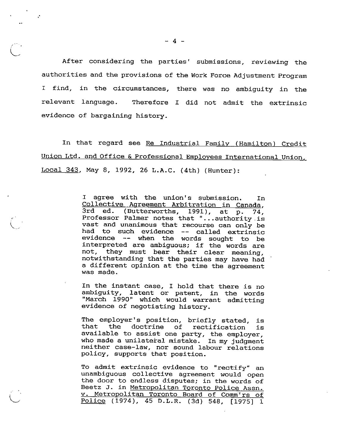After considering the parties' submissions, reviewing the authorities and the provisions of the Work Force Adjustment Program <sup>I</sup> find, in the circumstances, there was no ambiguity in the relevant language. Therefore <sup>I</sup> did not admit the extrinsic evidence of bargaining history.

In that regard see Re Industrial Family (Hamilton) Credit Union Ltd. and Office & Professional Employees International Union. Local 343. May 8, 1992, 26 L.A.C. (4th) (Hunter):

> <sup>I</sup> agree with the union's submission. In Collective Agreement Arbitration in Canada,  $3rd$  ed. (Butterworths, 1991), at  $\overline{p.}$  74, Professor Palmer notes that "...authority is vast and unanimous that recourse can only be had to such evidence -- called extrinsic evidence -- when the words sought to be interpreted are ambiguous; if the words are not, they must bear their clear meaning, notwithstanding that the parties may have had <sup>a</sup> different opinion at the time the agreement was made.

> In the instant case, <sup>I</sup> hold that there is no ambiguity, latent or patent, in the words "March 1990" which would warrant admitting evidence of negotiating history.

> The employer's position, briefly stated, is<br>that the doctrine of rectification is the doctrine of rectification is available to assist one party, the employer, who made a unilateral mistake. In my judgment neither case-law, nor sound labour relations policy, supports that position.

> To admit extrinsic evidence to "rectify" an unambiguous collective agreement would open the door to endless disputes; in the words of Beetz J. in Metropolitan Toronto Police Assn. V. Metropolitan Toronto Board of Comm'rs of Police (1974), 45 D.L.R. (3d) 548, [1975] <sup>1</sup>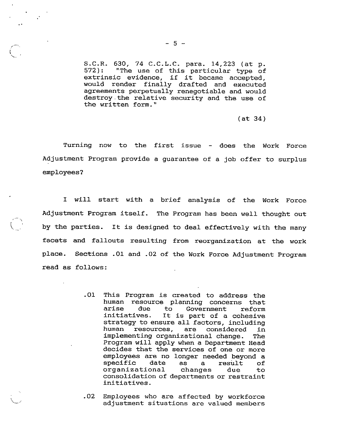S.C.R. 630, 74 C.C.L.C. para. 14,223 (at p. 572): "The use of this particular type of extrinsic evidence, if it became accepted, would render finally drafted and executed agreements perpetually renegotiable and would destroy the relative security and the use of the written form."

(at 34)

Turning now to the first issue - does the Work Force Adjustment Program provide <sup>a</sup> guarantee of <sup>a</sup> job offer to surplus employees?

<sup>I</sup> will start with <sup>a</sup> brief analysis of the Work Force Adjustment Program itself. The Program has been well thought out by the parties. It is designed to deal effectively with the many facets and fallouts resulting from reorganization at the work place. Sections .01 and .02 of the Work Force Adjustment Program read as follows:

- <sup>01</sup> This Program is created to address the human resource planning concerns that<br>arise due to Government reform arise due to Government reform<br>initiatives. It is part of a cohesive It is part of a cohesive strategy to ensure all factors, including<br>human resources, are considered in human resources, are considered in implementing organizational change. The Program will apply when <sup>a</sup> Department Head decides that the services of one or more employees are no longer needed beyond <sup>a</sup> empropose are no renger needed befond d specific date as a result of<br>organizational changes due to consolidation of departments or restraint initiatives.
- 02 Employees who are affected by workforce adjustment situations are valued members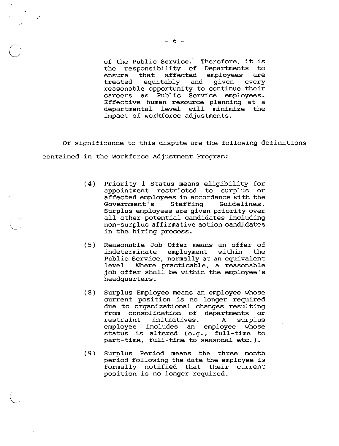$\ddot{\phantom{a}}$ 

of the Public Service. Therefore, it is<br>the responsibility of Departments to the responsibility of Departments to<br>ensure that affected employees are ensure that affected employees are<br>treated equitably and given every equitably reasonable opportunity to continue their careers as Public Service employees. Effective human resource planning at <sup>a</sup> departmental level will minimize the impact of workforce adjustments.

Of significance to this dispute are the following definitions contained in the Workforce Adjustment Program:

- (4) Priority <sup>1</sup> Status means eligibility for appointment restricted to surplus or affected employees in accordance with the<br>Government's Staffing Guidelines. Government's Surplus employees are given priority over all other potential candidates including non-surplus affirmative action candidates in the hiring process.
- (5) Reasonable Job Offer means an offer of indeterminate employment within the Public Service, normally at an equivalent level Where practicable, <sup>a</sup> reasonable job offer shall be within the employee's headquarters.
- (8) Surplus Employee means an employee whose current position is no longer required due to organizational changes resulting from consolidation of departments or restraint initiatives. <sup>A</sup> surplus employee includes an employee whose status is altered (e.g., full-time to part-time, full-time to seasonal etc.).
- (9) Surplus Period means the three month period following the date the employee is formally notified that their current position is no longer required.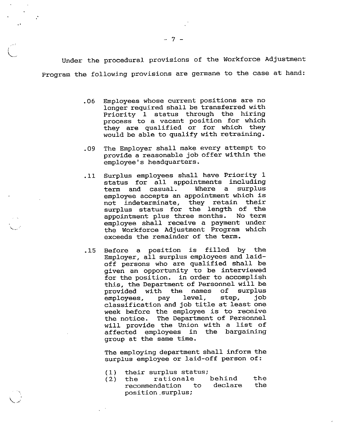Under the procedural provisions of the Workforce Adjustment Program the following provisions are germane to the case at hand:

- 06 Employees whose current positions are no longer required shall be transferred with Priority <sup>1</sup> status through the hiring process to a vacant position for which they are qualified or for which they would be able to qualify with retraining.
- .09 The Employer shall make every attempt to provide a reasonable job offer within the employee's headquarters.
- ,11 Surplus employees shall have Priority <sup>1</sup> status for all appointments including<br>term and casual. Where a surplus term and casual. employee accepts an appointment which is not indeterminate, they retain their surplus status for the length of the<br>appointment plus three months. No term appointment plus three months. employee shall receive <sup>a</sup> payment under the Workforce Adjustment Program which exceeds the remainder of the term.
- .15 Before <sup>a</sup> position is filled by the Employer, all surplus employees and laidoff persons who are qualified shall be given an opportunity to be interviewed for the position, in order to accomplish this, the Department of Personnel will be provided with the names of surplus<br>employees, pay level, step, job employees, pay classification and job title at least one week before the employee is to receive<br>the notice. The Department of Personnel The Department of Personnel will provide the Union with a list of<br>affected employees in the bargaining affected employees group at the same time.

The employing department shall inform the surplus employee or laid-off person of:

- 
- (1) their surplus status;<br>(2) the rationale rationale behind the<br>ndation to declare the recommendation position .surplus;

I

v..

v..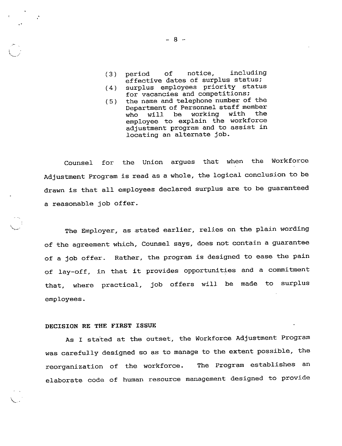- (3) period of notice, including effective dates of surplus status;
- (4) surplus employees priority status for vacancies and competitions;
- (5 ) the name and telephone number of the Department of Personnel staff member<br>who will be working with the who will be working with the employee to explain the workforce adjustment program and to assist in locating an alternate job.

Counsel for the Union argues that when the Workforce Adjustment Program is read as a whole, the logical conclusion to be drawn is that all employees declared surplus are to be guaranteed <sup>a</sup> reasonable job offer.

The Employer, as stated earlier, relies on the plain wording of the agreement which. Counsel says, does not contain a guarantee of a job offer. Rather, the program is designed to ease the pain of lay-off, in that it provides opportunities and <sup>a</sup> commitment that, where practical, job offers will be made to surplus employees.

## DECISION RE THE FIRST ISSUE

 $\ddot{\phantom{a}}$ 

As I stated at the outset, the Workforce Adjustment Program was carefully designed so as to manage to the extent possible, the reorganization of the workforce. The Program establishes an elaborate code of human resource management designed to provide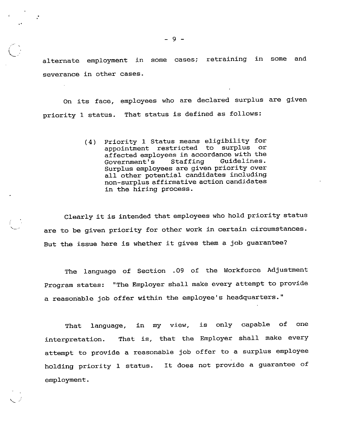alternate employment in some cases; retraining in some and severance in other cases.

On its face, employees who are declared surplus are given priority <sup>1</sup> status. That status is defined as follows:

> (4) Priority <sup>1</sup> Status means eligibility for appointment restricted to surplus or affected employees in accordance with the<br>Government's Staffing Guidelines. Government's Surplus employees are given priority over all other potential candidates including non-surplus affirmative action candidates in the hiring process.

Clearly it is intended that employees who hold priority status are to be given priority for other work in certain circumstances. But the issue here is whether it gives them <sup>a</sup> job guarantee?

The language of Section .09 of the Workforce Adjustment Program states: "The Employer shall make every attempt to provide a reasonable job offer within the employee's headquarters."

That language, in my view, is only capable of one interpretation. That is, that the Employer shall make every attempt to provide a reasonable job offer to a surplus employee holding priority <sup>1</sup> status. It does not provide <sup>a</sup> guarantee of employment.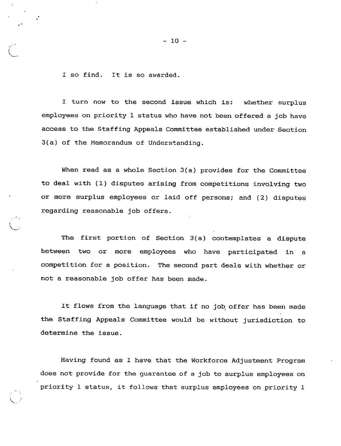<sup>I</sup> so find. It is so awarded.

<sup>I</sup> turn now to the second issue which is: whether surplus employees on priority <sup>1</sup> status who have not been offered <sup>a</sup> job have access to the Staffing Appeals Committee established under Section 3(a) of the Memorandum of Understanding.

When read as <sup>a</sup> whole Section 3(a) provides for the Committee to deal with (1) disputes arising from competitions involving two or more surplus employees or laid off persons; and (2) disputes regarding reasonable job offers.

The first portion of Section 3(a) contemplates <sup>a</sup> dispute between two or more employees who have participated in a competition for <sup>a</sup> position. The second part deals with whether or not <sup>a</sup> reasonable job offer has been made.

It flows from the language that if no job offer has been made the Staffing Appeals Committee would be without jurisdiction to determine the issue.

Having found as <sup>I</sup> have that the Workforce Adjustment Program does not provide for the guarantee of <sup>a</sup> job to surplus employees on priority <sup>1</sup> status, it follows that surplus employees on priority <sup>1</sup>

 $-10 -$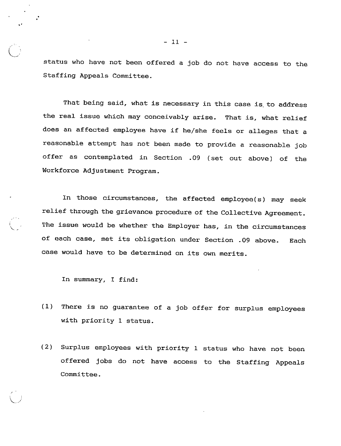status who have not been offered a job do not have access to the Staffing Appeals Committee.

That being said, what is necessary in this case is to address the real issue which may conceivably arise. That is, what relief does an affected employee have if he/she feels or alleges that <sup>a</sup> reasonable attempt has not been made to provide a reasonable job offer as contemplated in Section .09 (set out above) of the Workforce Adjustment Program.

In those circumstances, the affected employee(s) may seek relief through the grievance procedure of the Collective Agreement. The issue would be whether the Employer has, in the circumstances of each case, met its obligation under Section .09 above. Each case would have to be determined on its own merits.

In summary, <sup>I</sup> find:

 $\checkmark$ 

- (1) There is no guarantee of a job offer for surplus employees with priority <sup>1</sup> status.
- (2) Surplus employees with priority 1 status who have not been offered jobs do not have access to the Staffing Appeals Committee.